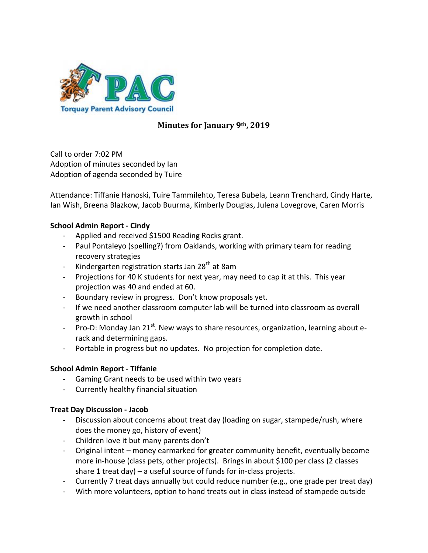

# **Minutes for January 9th, 2019**

Call to order 7:02 PM Adoption of minutes seconded by Ian Adoption of agenda seconded by Tuire

Attendance: Tiffanie Hanoski, Tuire Tammilehto, Teresa Bubela, Leann Trenchard, Cindy Harte, Ian Wish, Breena Blazkow, Jacob Buurma, Kimberly Douglas, Julena Lovegrove, Caren Morris

## **School Admin Report - Cindy**

- Applied and received \$1500 Reading Rocks grant.
- Paul Pontaleyo (spelling?) from Oaklands, working with primary team for reading recovery strategies
- Kindergarten registration starts Jan 28<sup>th</sup> at 8am
- Projections for 40 K students for next year, may need to cap it at this. This year projection was 40 and ended at 60.
- Boundary review in progress. Don't know proposals yet.
- If we need another classroom computer lab will be turned into classroom as overall growth in school
- Pro-D: Monday Jan 21 $^{\rm st}$ . New ways to share resources, organization, learning about erack and determining gaps.
- Portable in progress but no updates. No projection for completion date.

## **School Admin Report - Tiffanie**

- Gaming Grant needs to be used within two years
- Currently healthy financial situation

## **Treat Day Discussion - Jacob**

- Discussion about concerns about treat day (loading on sugar, stampede/rush, where does the money go, history of event)
- Children love it but many parents don't
- Original intent money earmarked for greater community benefit, eventually become more in-house (class pets, other projects). Brings in about \$100 per class (2 classes share 1 treat day) – a useful source of funds for in-class projects.
- Currently 7 treat days annually but could reduce number (e.g., one grade per treat day)
- With more volunteers, option to hand treats out in class instead of stampede outside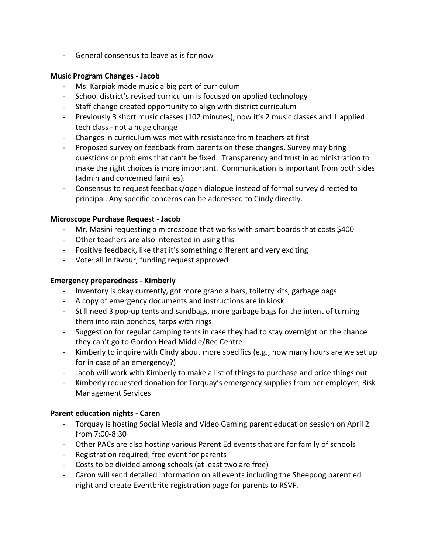- General consensus to leave as is for now

#### **Music Program Changes - Jacob**

- Ms. Karpiak made music a big part of curriculum
- School district's revised curriculum is focused on applied technology
- Staff change created opportunity to align with district curriculum
- Previously 3 short music classes (102 minutes), now it's 2 music classes and 1 applied tech class - not a huge change
- Changes in curriculum was met with resistance from teachers at first
- Proposed survey on feedback from parents on these changes. Survey may bring questions or problems that can't be fixed. Transparency and trust in administration to make the right choices is more important. Communication is important from both sides (admin and concerned families).
- Consensus to request feedback/open dialogue instead of formal survey directed to principal. Any specific concerns can be addressed to Cindy directly.

#### **Microscope Purchase Request - Jacob**

- Mr. Masini requesting a microscope that works with smart boards that costs \$400
- Other teachers are also interested in using this
- Positive feedback, like that it's something different and very exciting
- Vote: all in favour, funding request approved

## **Emergency preparedness - Kimberly**

- Inventory is okay currently, got more granola bars, toiletry kits, garbage bags
- A copy of emergency documents and instructions are in kiosk
- Still need 3 pop-up tents and sandbags, more garbage bags for the intent of turning them into rain ponchos, tarps with rings
- Suggestion for regular camping tents in case they had to stay overnight on the chance they can't go to Gordon Head Middle/Rec Centre
- Kimberly to inquire with Cindy about more specifics (e.g., how many hours are we set up for in case of an emergency?)
- Jacob will work with Kimberly to make a list of things to purchase and price things out
- Kimberly requested donation for Torquay's emergency supplies from her employer, Risk Management Services

## **Parent education nights - Caren**

- Torquay is hosting Social Media and Video Gaming parent education session on April 2 from 7:00-8:30
- Other PACs are also hosting various Parent Ed events that are for family of schools
- Registration required, free event for parents
- Costs to be divided among schools (at least two are free)
- Caron will send detailed information on all events including the Sheepdog parent ed night and create Eventbrite registration page for parents to RSVP.